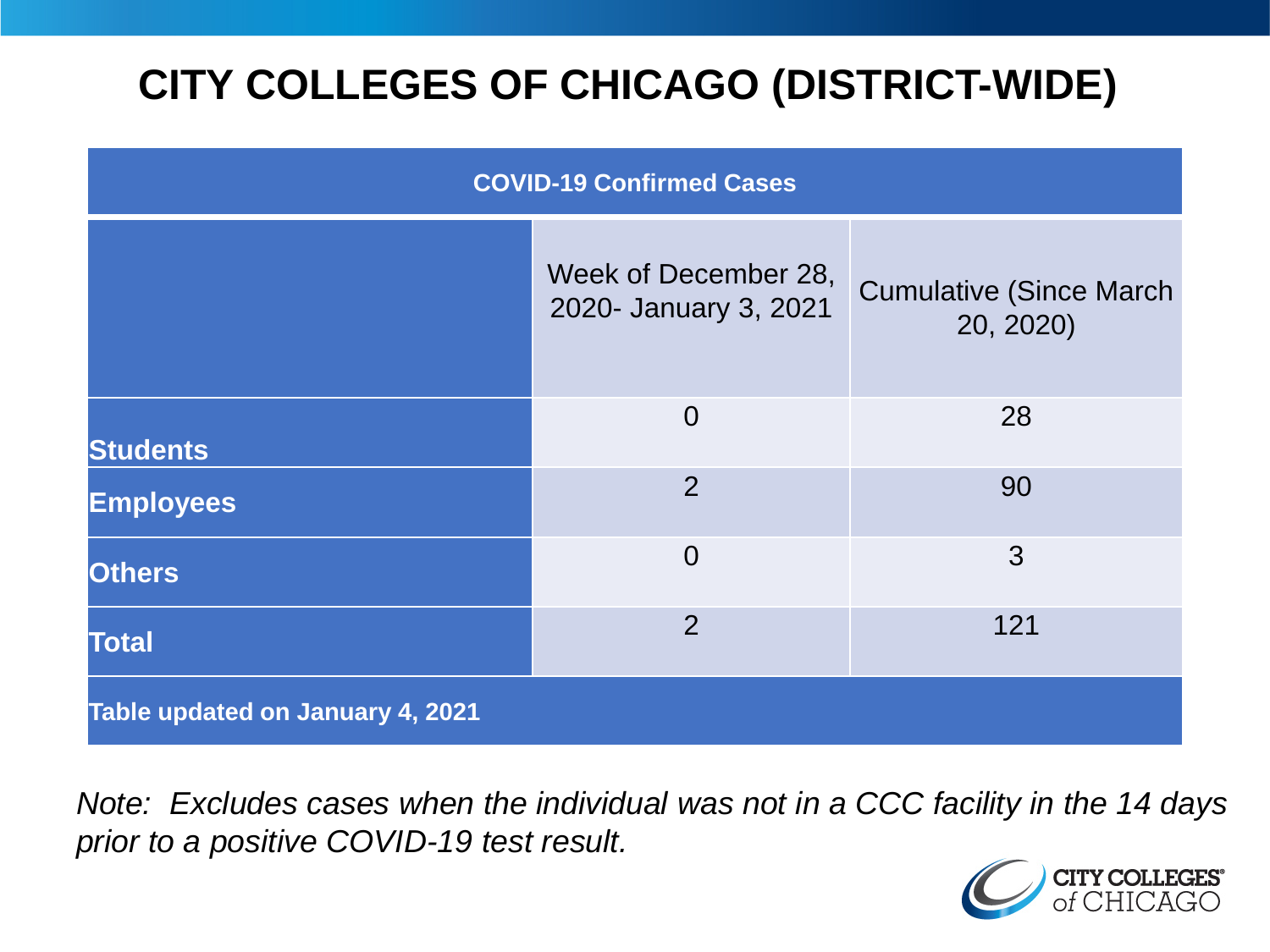# **CITY COLLEGES OF CHICAGO (DISTRICT-WIDE)**

| <b>COVID-19 Confirmed Cases</b>  |                                               |                                              |
|----------------------------------|-----------------------------------------------|----------------------------------------------|
|                                  | Week of December 28,<br>2020- January 3, 2021 | <b>Cumulative (Since March)</b><br>20, 2020) |
| <b>Students</b>                  | $\overline{0}$                                | 28                                           |
| <b>Employees</b>                 | $\overline{2}$                                | 90                                           |
| <b>Others</b>                    | $\overline{0}$                                | 3                                            |
| <b>Total</b>                     | $\overline{2}$                                | 121                                          |
| Table updated on January 4, 2021 |                                               |                                              |

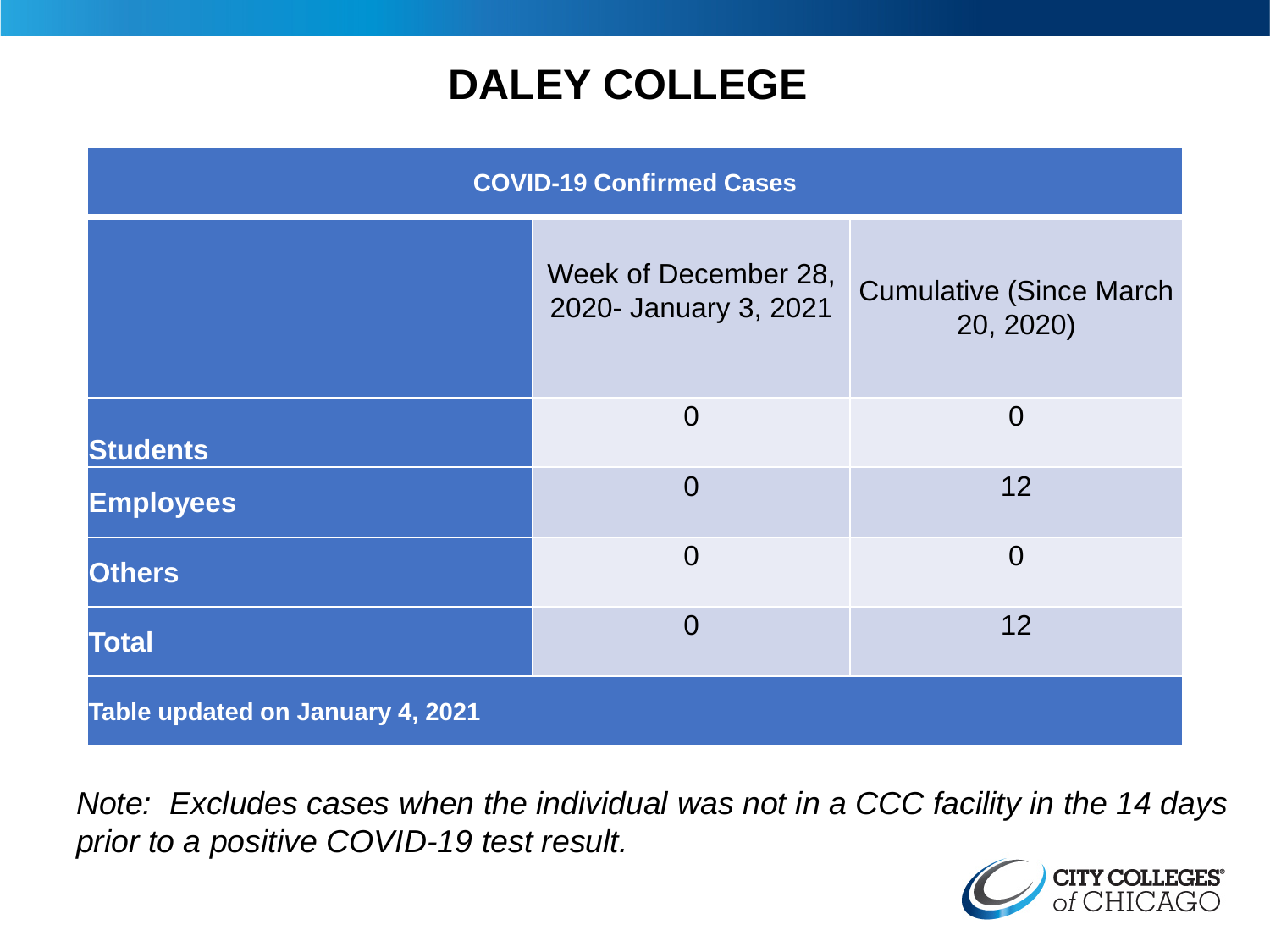# **DALEY COLLEGE**

| <b>COVID-19 Confirmed Cases</b>  |                                               |                                              |
|----------------------------------|-----------------------------------------------|----------------------------------------------|
|                                  | Week of December 28,<br>2020- January 3, 2021 | <b>Cumulative (Since March)</b><br>20, 2020) |
| <b>Students</b>                  | $\overline{0}$                                | $\Omega$                                     |
| <b>Employees</b>                 | $\overline{0}$                                | 12                                           |
| <b>Others</b>                    | $\overline{0}$                                | $\overline{0}$                               |
| <b>Total</b>                     | $\overline{0}$                                | 12                                           |
| Table updated on January 4, 2021 |                                               |                                              |

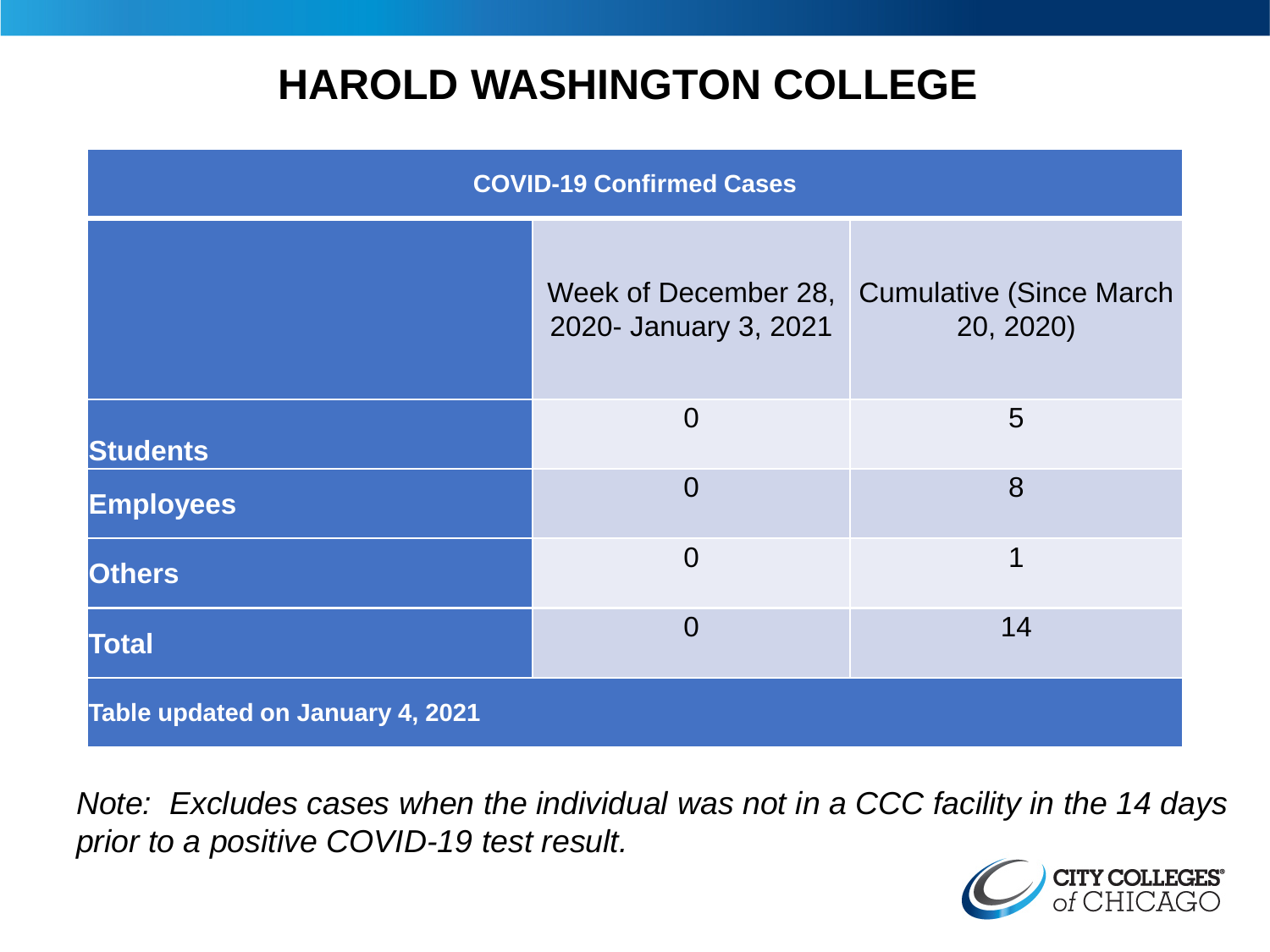# **HAROLD WASHINGTON COLLEGE**

| <b>COVID-19 Confirmed Cases</b>  |                                               |                                              |
|----------------------------------|-----------------------------------------------|----------------------------------------------|
|                                  | Week of December 28,<br>2020- January 3, 2021 | <b>Cumulative (Since March)</b><br>20, 2020) |
| <b>Students</b>                  | $\overline{0}$                                | $5\overline{)}$                              |
| <b>Employees</b>                 | $\Omega$                                      | 8                                            |
| <b>Others</b>                    | $\overline{0}$                                | 1                                            |
| <b>Total</b>                     | $\Omega$                                      | 14                                           |
| Table updated on January 4, 2021 |                                               |                                              |

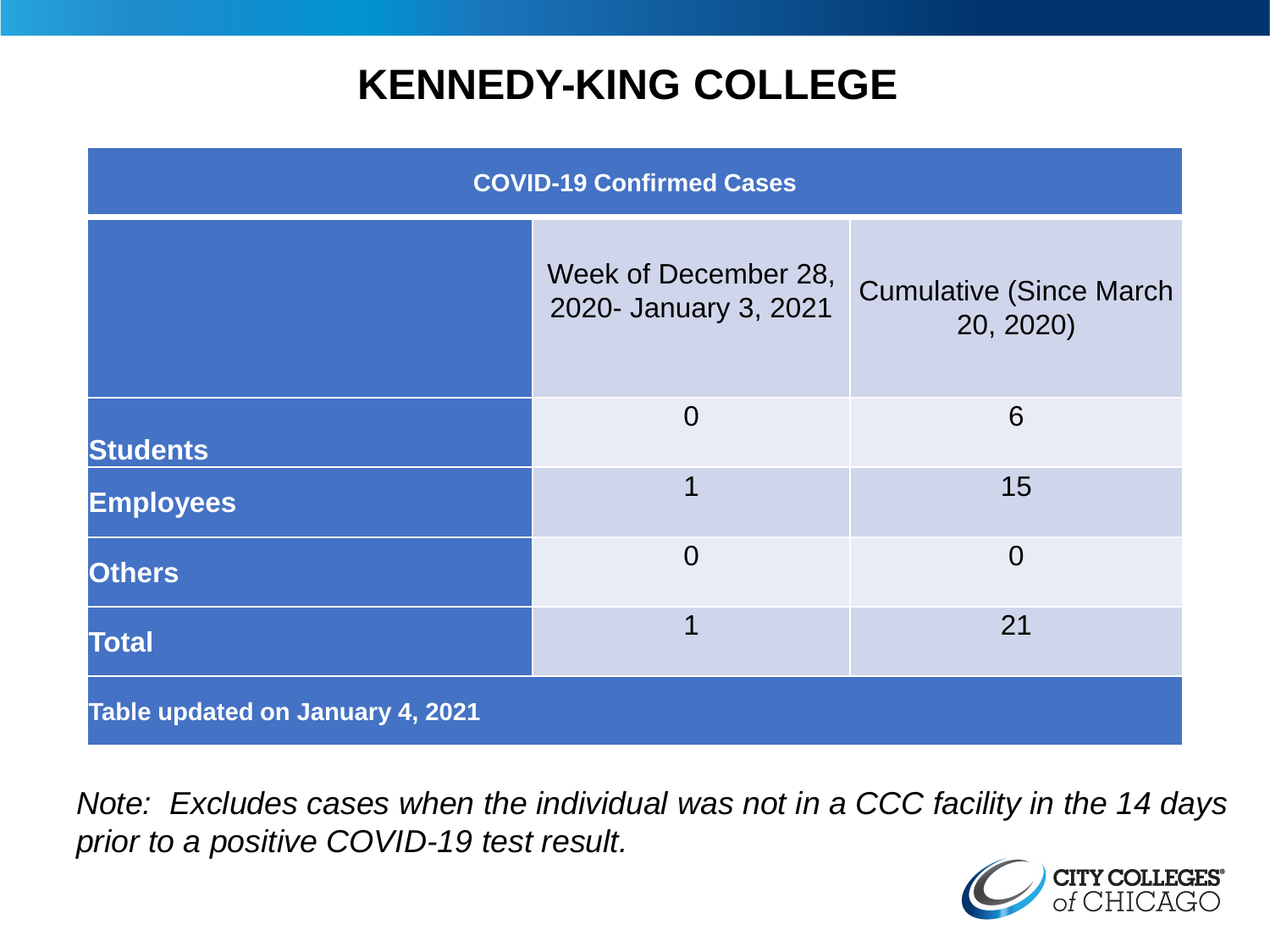# **KENNEDY-KING COLLEGE**

| <b>COVID-19 Confirmed Cases</b>  |                                               |                                              |
|----------------------------------|-----------------------------------------------|----------------------------------------------|
|                                  | Week of December 28,<br>2020- January 3, 2021 | <b>Cumulative (Since March)</b><br>20, 2020) |
| <b>Students</b>                  | $\overline{0}$                                | 6                                            |
| <b>Employees</b>                 | 1                                             | 15                                           |
| <b>Others</b>                    | $\overline{0}$                                | $\overline{0}$                               |
| <b>Total</b>                     | 1                                             | 21                                           |
| Table updated on January 4, 2021 |                                               |                                              |

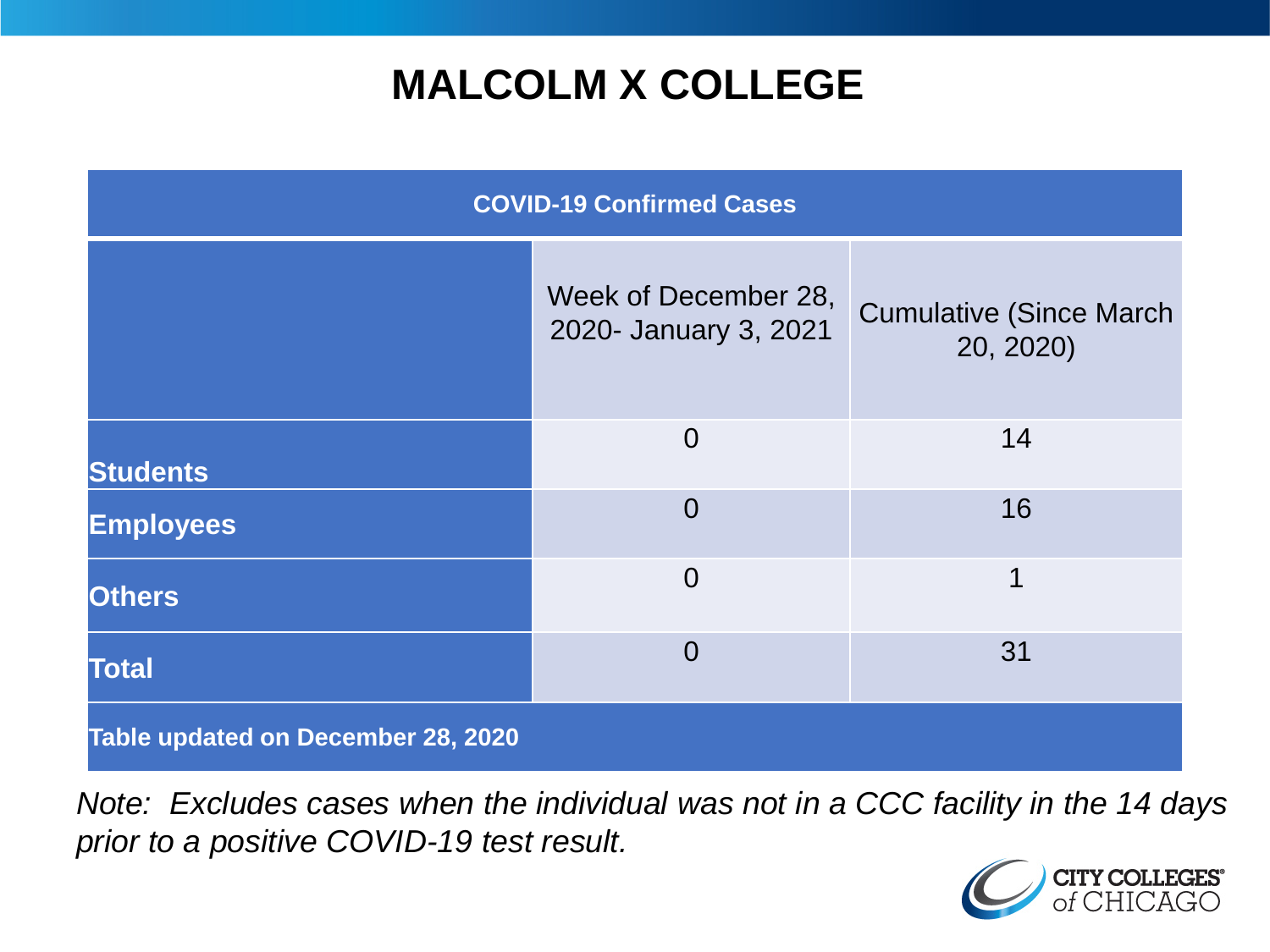# **MALCOLM X COLLEGE**

| <b>COVID-19 Confirmed Cases</b>    |                                               |                                              |
|------------------------------------|-----------------------------------------------|----------------------------------------------|
|                                    | Week of December 28,<br>2020- January 3, 2021 | <b>Cumulative (Since March)</b><br>20, 2020) |
| <b>Students</b>                    | $\overline{0}$                                | 14                                           |
| <b>Employees</b>                   | $\Omega$                                      | 16                                           |
| <b>Others</b>                      | $\overline{0}$                                | 1                                            |
| <b>Total</b>                       | $\Omega$                                      | 31                                           |
| Table updated on December 28, 2020 |                                               |                                              |

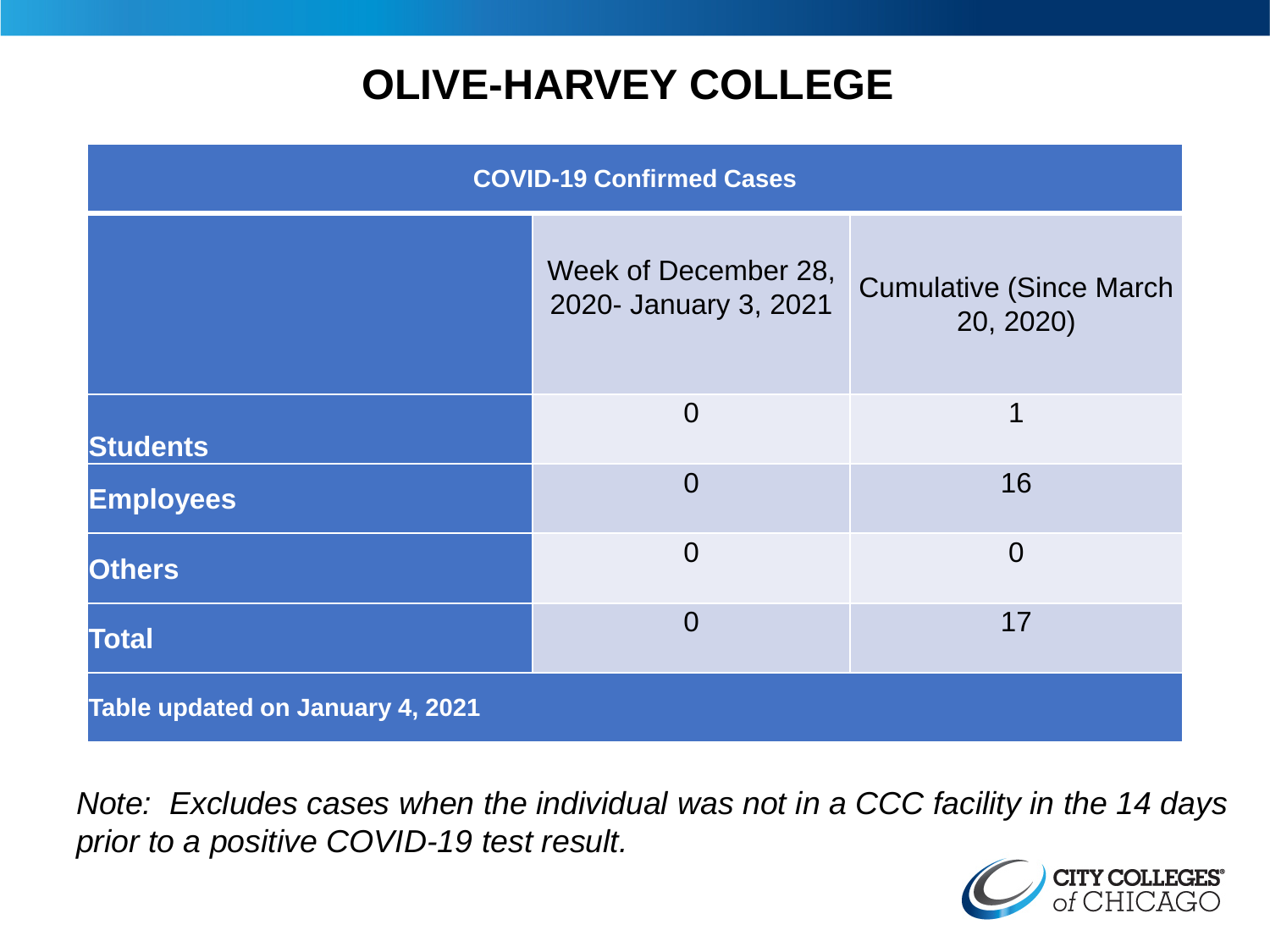# **OLIVE-HARVEY COLLEGE**

| <b>COVID-19 Confirmed Cases</b>  |                                               |                                              |
|----------------------------------|-----------------------------------------------|----------------------------------------------|
|                                  | Week of December 28,<br>2020- January 3, 2021 | <b>Cumulative (Since March)</b><br>20, 2020) |
| <b>Students</b>                  | $\Omega$                                      | 1                                            |
| <b>Employees</b>                 | $\Omega$                                      | 16                                           |
| <b>Others</b>                    | $\overline{0}$                                | $\overline{0}$                               |
| <b>Total</b>                     | $\Omega$                                      | 17                                           |
| Table updated on January 4, 2021 |                                               |                                              |

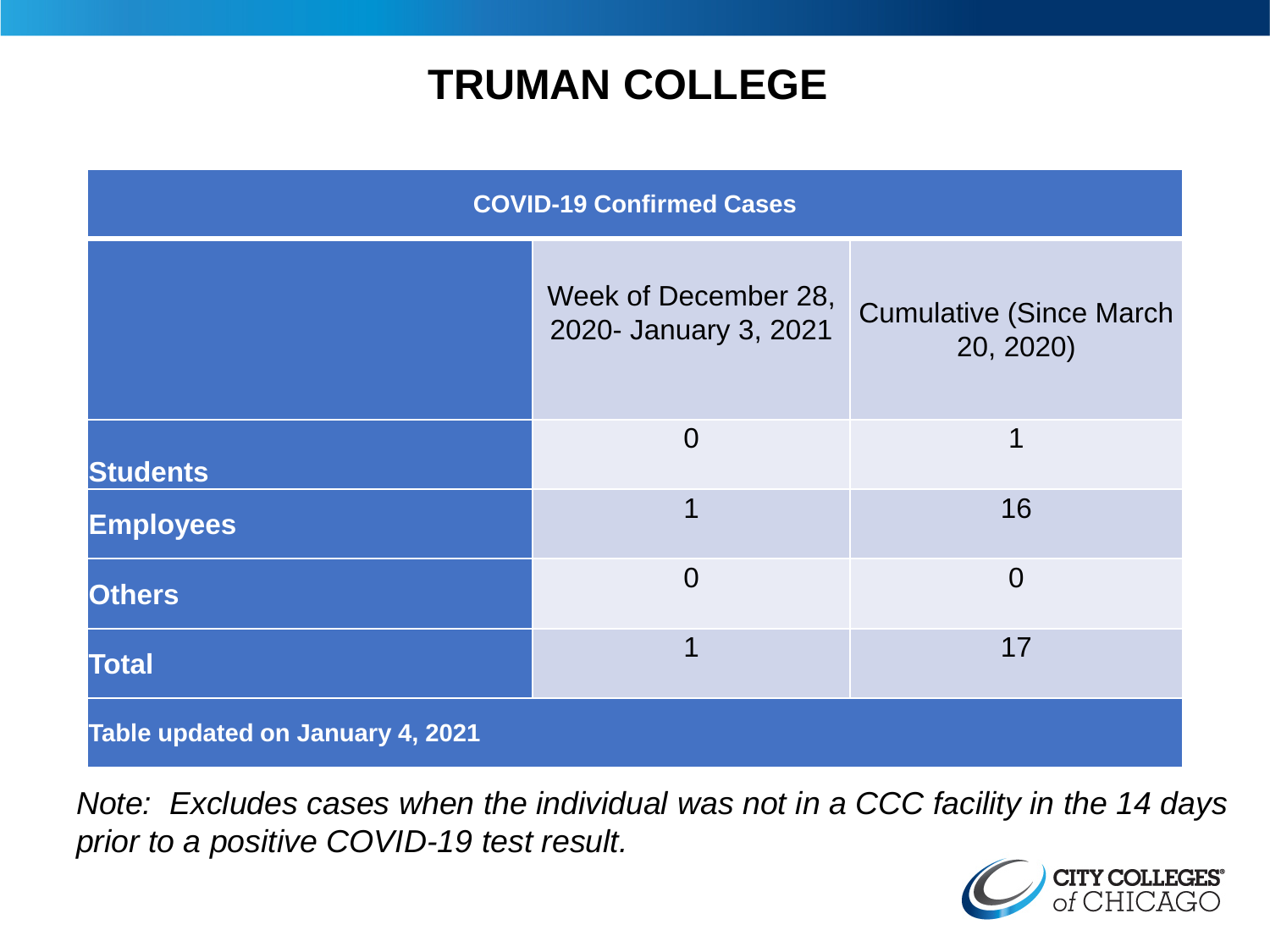# **TRUMAN COLLEGE**

| <b>COVID-19 Confirmed Cases</b>  |                                               |                                              |
|----------------------------------|-----------------------------------------------|----------------------------------------------|
|                                  | Week of December 28,<br>2020- January 3, 2021 | <b>Cumulative (Since March)</b><br>20, 2020) |
| <b>Students</b>                  | $\overline{0}$                                | 1                                            |
| <b>Employees</b>                 | 1                                             | 16                                           |
| <b>Others</b>                    | $\overline{0}$                                | $\overline{0}$                               |
| <b>Total</b>                     | 1                                             | 17                                           |
| Table updated on January 4, 2021 |                                               |                                              |

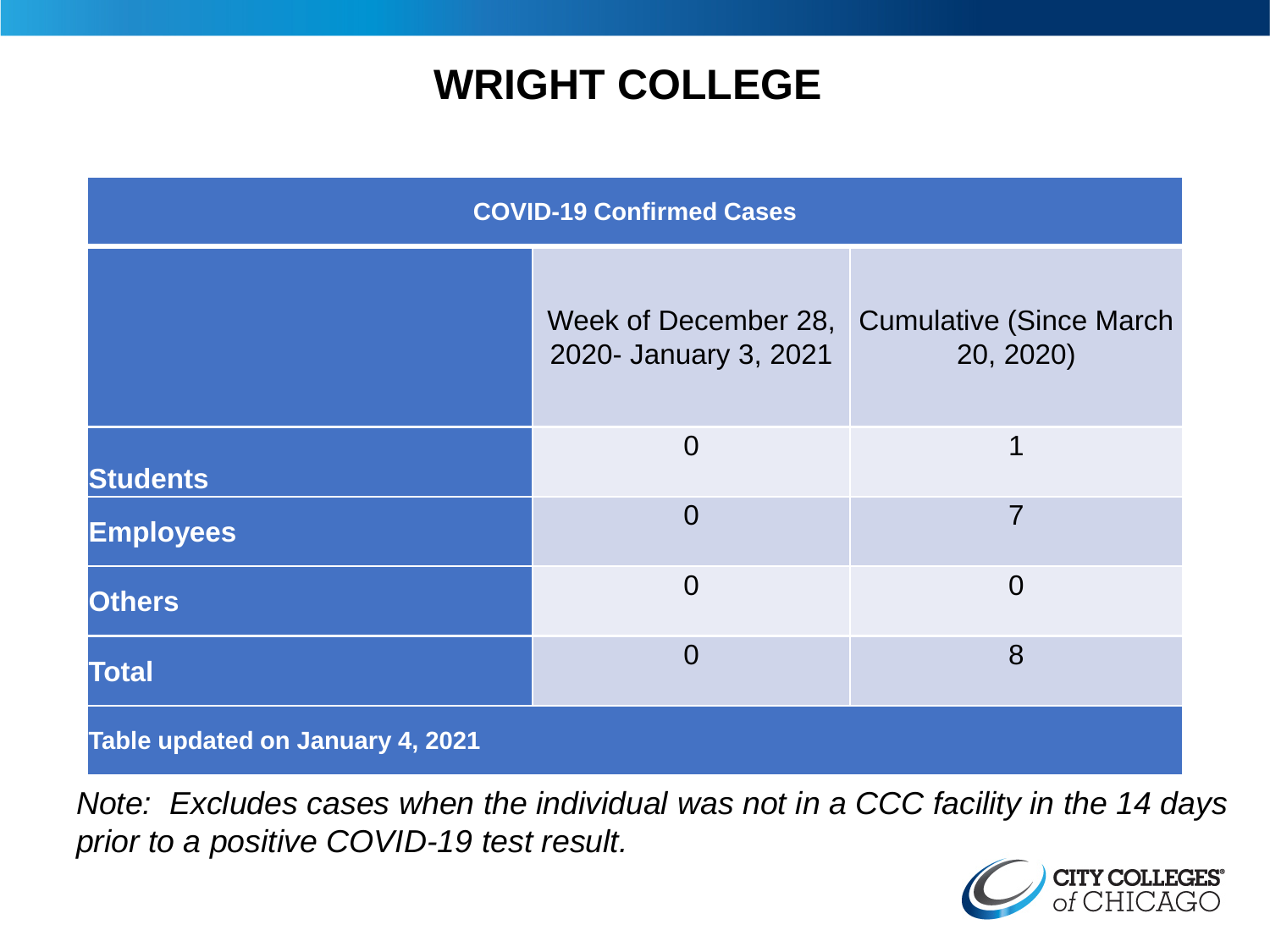# **WRIGHT COLLEGE**

| <b>COVID-19 Confirmed Cases</b>  |                       |                                                            |
|----------------------------------|-----------------------|------------------------------------------------------------|
|                                  | 2020- January 3, 2021 | Week of December 28, Cumulative (Since March)<br>20, 2020) |
| <b>Students</b>                  | $\Omega$              | 1                                                          |
| <b>Employees</b>                 | $\overline{0}$        | 7                                                          |
| <b>Others</b>                    | $\overline{0}$        | $\Omega$                                                   |
| <b>Total</b>                     | $\overline{0}$        | 8                                                          |
| Table updated on January 4, 2021 |                       |                                                            |